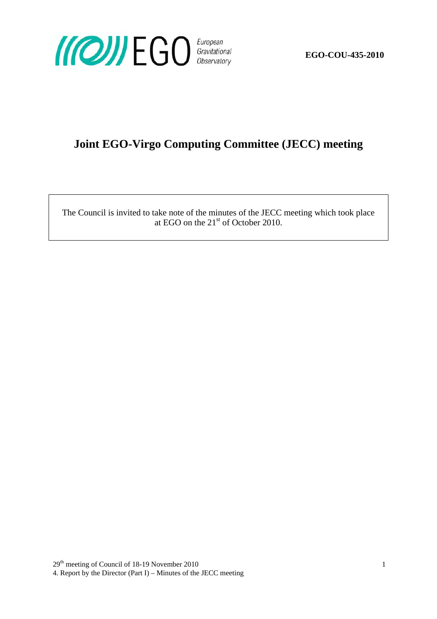

**EGO-COU-435-2010** 

# **Joint EGO-Virgo Computing Committee (JECC) meeting**

The Council is invited to take note of the minutes of the JECC meeting which took place at EGO on the  $21<sup>st</sup>$  of October 2010.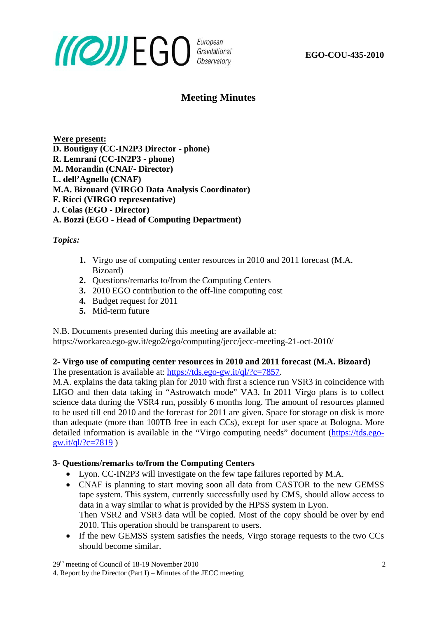

**EGO-COU-435-2010** 

### **Meeting Minutes**

**Were present: D. Boutigny (CC-IN2P3 Director - phone) R. Lemrani (CC-IN2P3 - phone) M. Morandin (CNAF- Director) L. dell'Agnello (CNAF) M.A. Bizouard (VIRGO Data Analysis Coordinator) F. Ricci (VIRGO representative) J. Colas (EGO - Director) A. Bozzi (EGO - Head of Computing Department)** 

*Topics:* 

- **1.** Virgo use of computing center resources in 2010 and 2011 forecast (M.A. Bizoard)
- **2.** Questions/remarks to/from the Computing Centers
- **3.** 2010 EGO contribution to the off-line computing cost
- **4.** Budget request for 2011
- **5.** Mid-term future

N.B. Documents presented during this meeting are available at:

https://workarea.ego-gw.it/ego2/ego/computing/jecc/jecc-meeting-21-oct-2010/

## **2- Virgo use of computing center resources in 2010 and 2011 forecast (M.A. Bizoard)**

The presentation is available at: <https://tds.ego-gw.it/ql/?c=7857>.

M.A. explains the data taking plan for 2010 with first a science run VSR3 in coincidence with LIGO and then data taking in "Astrowatch mode" VA3. In 2011 Virgo plans is to collect science data during the VSR4 run, possibly 6 months long. The amount of resources planned to be used till end 2010 and the forecast for 2011 are given. Space for storage on disk is more than adequate (more than 100TB free in each CCs), except for user space at Bologna. More detailed information is available in the "Virgo computing needs" document ([https://tds.ego](https://tds.ego-gw.it/ql/?c=7819)gw.it/ql/?c=7819)

#### **3- Questions/remarks to/from the Computing Centers**

- Lyon. CC-IN2P3 will investigate on the few tape failures reported by M.A.
- CNAF is planning to start moving soon all data from CASTOR to the new GEMSS tape system. This system, currently successfully used by CMS, should allow access to data in a way similar to what is provided by the HPSS system in Lyon. Then VSR2 and VSR3 data will be copied. Most of the copy should be over by end 2010. This operation should be transparent to users.
- If the new GEMSS system satisfies the needs, Virgo storage requests to the two CCs should become similar.

 $29<sup>th</sup>$  meeting of Council of 18-19 November 2010 2

<sup>4.</sup> Report by the Director (Part I) – Minutes of the JECC meeting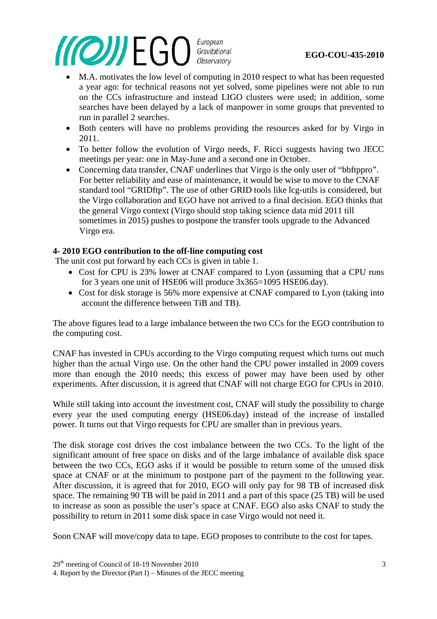#### *MOWEGO* European Gravitational Observatory

#### **EGO-COU-435-2010**

- M.A. motivates the low level of computing in 2010 respect to what has been requested a year ago: for technical reasons not yet solved, some pipelines were not able to run on the CCs infrastructure and instead LIGO clusters were used; in addition, some searches have been delayed by a lack of manpower in some groups that prevented to run in parallel 2 searches.
- Both centers will have no problems providing the resources asked for by Virgo in 2011.
- To better follow the evolution of Virgo needs, F. Ricci suggests having two JECC meetings per year: one in May-June and a second one in October.
- Concerning data transfer, CNAF underlines that Virgo is the only user of "bbftppro". For better reliability and ease of maintenance, it would be wise to move to the CNAF standard tool "GRIDftp". The use of other GRID tools like lcg-utils is considered, but the Virgo collaboration and EGO have not arrived to a final decision. EGO thinks that the general Virgo context (Virgo should stop taking science data mid 2011 till sometimes in 2015) pushes to postpone the transfer tools upgrade to the Advanced Virgo era.

#### **4- 2010 EGO contribution to the off-line computing cost**

The unit cost put forward by each CCs is given in table 1.

- Cost for CPU is 23% lower at CNAF compared to Lyon (assuming that a CPU runs for 3 years one unit of HSE06 will produce 3x365=1095 HSE06.day).
- Cost for disk storage is 56% more expensive at CNAF compared to Lyon (taking into account the difference between TiB and TB).

The above figures lead to a large imbalance between the two CCs for the EGO contribution to the computing cost.

CNAF has invested in CPUs according to the Virgo computing request which turns out much higher than the actual Virgo use. On the other hand the CPU power installed in 2009 covers more than enough the 2010 needs; this excess of power may have been used by other experiments. After discussion, it is agreed that CNAF will not charge EGO for CPUs in 2010.

While still taking into account the investment cost, CNAF will study the possibility to charge every year the used computing energy (HSE06.day) instead of the increase of installed power. It turns out that Virgo requests for CPU are smaller than in previous years.

The disk storage cost drives the cost imbalance between the two CCs. To the light of the significant amount of free space on disks and of the large imbalance of available disk space between the two CCs, EGO asks if it would be possible to return some of the unused disk space at CNAF or at the minimum to postpone part of the payment to the following year. After discussion, it is agreed that for 2010, EGO will only pay for 98 TB of increased disk space. The remaining 90 TB will be paid in 2011 and a part of this space (25 TB) will be used to increase as soon as possible the user's space at CNAF. EGO also asks CNAF to study the possibility to return in 2011 some disk space in case Virgo would not need it.

Soon CNAF will move/copy data to tape. EGO proposes to contribute to the cost for tapes.